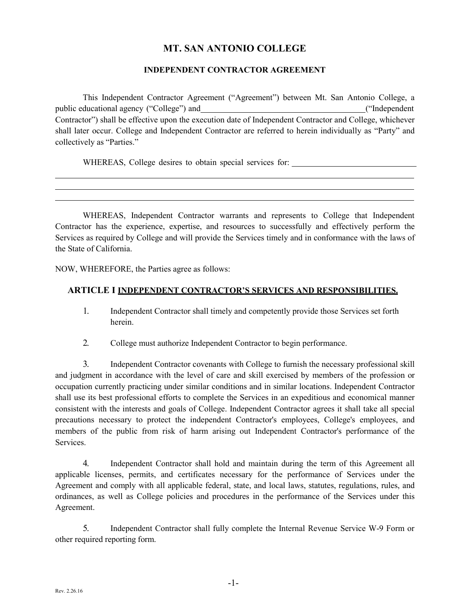# **MT. SAN ANTONIO COLLEGE**

### **INDEPENDENT CONTRACTOR AGREEMENT**

 This Independent Contractor Agreement ("Agreement") between Mt. San Antonio College, a public educational agency ("College") and ("Independent collectively as "Parties." Contractor") shall be effective upon the execution date of Independent Contractor and College, whichever shall later occur. College and Independent Contractor are referred to herein individually as "Party" and

WHEREAS, College desires to obtain special services for:

WHEREAS, Independent Contractor warrants and represents to College that Independent Contractor has the experience, expertise, and resources to successfully and effectively perform the Services as required by College and will provide the Services timely and in conformance with the laws of the State of California.

NOW, WHEREFORE, the Parties agree as follows:

#### **ARTICLE I INDEPENDENT CONTRACTOR'S SERVICES AND RESPONSIBILITIES.**

- 1. Independent Contractor shall timely and competently provide those Services set forth herein.
- 2. College must authorize Independent Contractor to begin performance.

 3. Independent Contractor covenants with College to furnish the necessary professional skill occupation currently practicing under similar conditions and in similar locations. Independent Contractor shall use its best professional efforts to complete the Services in an expeditious and economical manner precautions necessary to protect the independent Contractor's employees, College's employees, and and judgment in accordance with the level of care and skill exercised by members of the profession or consistent with the interests and goals of College. Independent Contractor agrees it shall take all special members of the public from risk of harm arising out Independent Contractor's performance of the Services.

 applicable licenses, permits, and certificates necessary for the performance of Services under the ordinances, as well as College policies and procedures in the performance of the Services under this 4. Independent Contractor shall hold and maintain during the term of this Agreement all Agreement and comply with all applicable federal, state, and local laws, statutes, regulations, rules, and Agreement.

 other required reporting form. 5. Independent Contractor shall fully complete the Internal Revenue Service W-9 Form or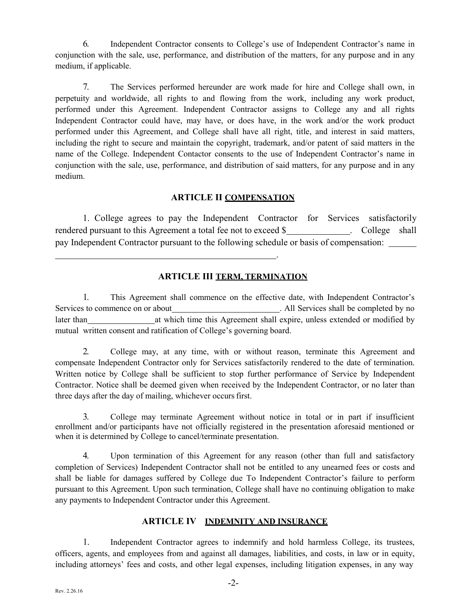conjunction with the sale, use, performance, and distribution of the matters, for any purpose and in any 6. Independent Contractor consents to College's use of Independent Contractor's name in medium, if applicable.

7. The Services performed hereunder are work made for hire and College shall own, in perpetuity and worldwide, all rights to and flowing from the work, including any work product, performed under this Agreement. Independent Contractor assigns to College any and all rights Independent Contractor could have, may have, or does have, in the work and/or the work product performed under this Agreement, and College shall have all right, title, and interest in said matters, including the right to secure and maintain the copyright, trademark, and/or patent of said matters in the name of the College. Independent Contactor consents to the use of Independent Contractor's name in conjunction with the sale, use, performance, and distribution of said matters, for any purpose and in any medium.

### **ARTICLE II COMPENSATION**

 1. College agrees to pay the Independent Contractor for Services satisfactorily rendered pursuant to this Agreement a total fee not to exceed \$\_\_\_\_\_\_\_\_\_\_\_\_\_. College shall pay Independent Contractor pursuant to the following schedule or basis of compensation: .

## **ARTICLE III TERM, TERMINATION**

 1. This Agreement shall commence on the effective date, with Independent Contractor's Services to commence on or about later than mutual written consent and ratification of College's governing board. All Services shall be completed by no at which time this Agreement shall expire, unless extended or modified by

 compensate Independent Contractor only for Services satisfactorily rendered to the date of termination. Written notice by College shall be sufficient to stop further performance of Service by Independent three days after the day of mailing, whichever occurs first. 2. College may, at any time, with or without reason, terminate this Agreement and Contractor. Notice shall be deemed given when received by the Independent Contractor, or no later than

 3. College may terminate Agreement without notice in total or in part if insufficient enrollment and/or participants have not officially registered in the presentation aforesaid mentioned or when it is determined by College to cancel/terminate presentation.

 shall be liable for damages suffered by College due To Independent Contractor's failure to perform pursuant to this Agreement. Upon such termination, College shall have no continuing obligation to make any payments to Independent Contractor under this Agreement. 4. Upon termination of this Agreement for any reason (other than full and satisfactory completion of Services) Independent Contractor shall not be entitled to any unearned fees or costs and

## **ARTICLE IV INDEMNITY AND INSURANCE**

 officers, agents, and employees from and against all damages, liabilities, and costs, in law or in equity, including attorneys' fees and costs, and other legal expenses, including litigation expenses, in any way 1. Independent Contractor agrees to indemnify and hold harmless College, its trustees,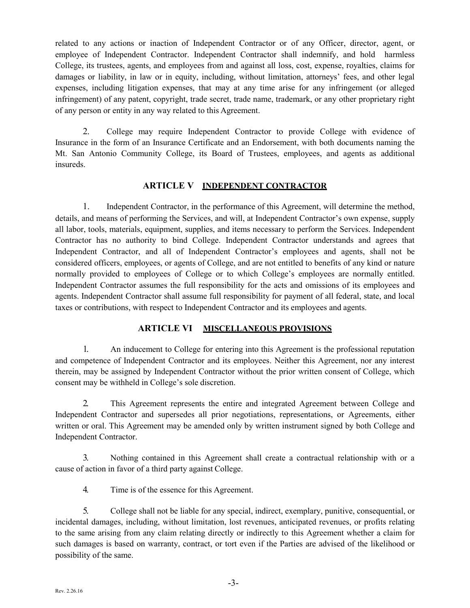of any person or entity in any way related to this Agreement. related to any actions or inaction of Independent Contractor or of any Officer, director, agent, or employee of Independent Contractor. Independent Contractor shall indemnify, and hold harmless College, its trustees, agents, and employees from and against all loss, cost, expense, royalties, claims for damages or liability, in law or in equity, including, without limitation, attorneys' fees, and other legal expenses, including litigation expenses, that may at any time arise for any infringement (or alleged infringement) of any patent, copyright, trade secret, trade name, trademark, or any other proprietary right

 Mt. San Antonio Community College, its Board of Trustees, employees, and agents as additional 2. College may require Independent Contractor to provide College with evidence of Insurance in the form of an Insurance Certificate and an Endorsement, with both documents naming the insureds.

## **ARTICLE V INDEPENDENT CONTRACTOR**

 details, and means of performing the Services, and will, at Independent Contractor's own expense, supply all labor, tools, materials, equipment, supplies, and items necessary to perform the Services. Independent Contractor has no authority to bind College. Independent Contractor understands and agrees that normally provided to employees of College or to which College's employees are normally entitled. 1. Independent Contractor, in the performance of this Agreement, will determine the method, Independent Contractor, and all of Independent Contractor's employees and agents, shall not be considered officers, employees, or agents of College, and are not entitled to benefits of any kind or nature Independent Contractor assumes the full responsibility for the acts and omissions of its employees and agents. Independent Contractor shall assume full responsibility for payment of all federal, state, and local taxes or contributions, with respect to Independent Contractor and its employees and agents.

### **ARTICLE VI MISCELLANEOUS PROVISIONS**

 1. An inducement to College for entering into this Agreement is the professional reputation and competence of Independent Contractor and its employees. Neither this Agreement, nor any interest consent may be withheld in College's sole discretion. therein, may be assigned by Independent Contractor without the prior written consent of College, which

 written or oral. This Agreement may be amended only by written instrument signed by both College and 2. This Agreement represents the entire and integrated Agreement between College and Independent Contractor and supersedes all prior negotiations, representations, or Agreements, either Independent Contractor.

 3. Nothing contained in this Agreement shall create a contractual relationship with or a cause of action in favor of a third party against College.

4. Time is of the essence for this Agreement.

 incidental damages, including, without limitation, lost revenues, anticipated revenues, or profits relating such damages is based on warranty, contract, or tort even if the Parties are advised of the likelihood or possibility of the same. 5. College shall not be liable for any special, indirect, exemplary, punitive, consequential, or to the same arising from any claim relating directly or indirectly to this Agreement whether a claim for